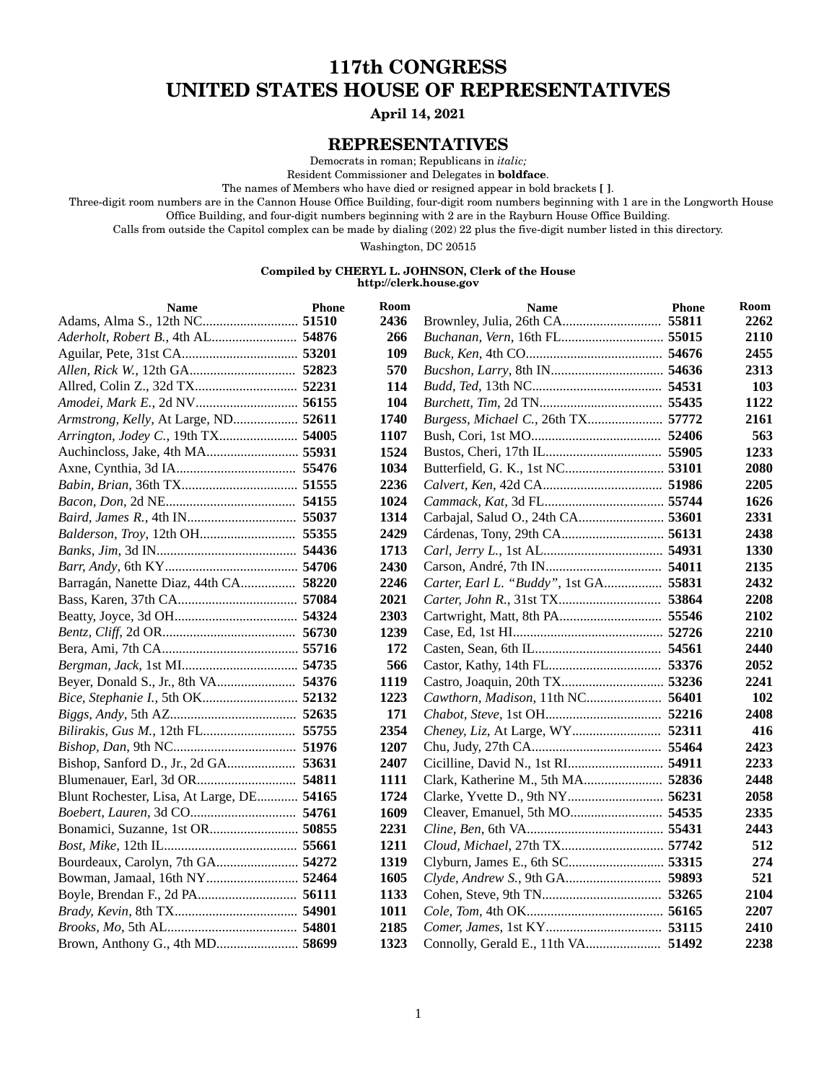### **117th CONGRESS UNITED STATES HOUSE OF REPRESENTATIVES**

#### **April 14, 2021**

#### **REPRESENTATIVES**

Democrats in roman; Republicans in *italic;*

Resident Commissioner and Delegates in **boldface**.

The names of Members who have died or resigned appear in bold brackets **[ ]**.

Three-digit room numbers are in the Cannon House Office Building, four-digit room numbers beginning with 1 are in the Longworth House Office Building, and four-digit numbers beginning with 2 are in the Rayburn House Office Building.

Calls from outside the Capitol complex can be made by dialing (202) 22 plus the five-digit number listed in this directory.

Washington, DC 20515

#### **Compiled by CHERYL L. JOHNSON, Clerk of the House http://clerk.house.gov**

| <b>Name</b>                               | <b>Phone</b> | Room | <b>Name</b>                        | <b>Phone</b> | <b>Room</b> |
|-------------------------------------------|--------------|------|------------------------------------|--------------|-------------|
|                                           |              | 2436 |                                    | 55811        | 2262        |
| Aderholt, Robert B., 4th AL 54876         |              | 266  |                                    |              | 2110        |
|                                           |              | 109  |                                    |              | 2455        |
|                                           |              | 570  |                                    |              | 2313        |
|                                           |              | 114  |                                    |              | 103         |
|                                           |              | 104  |                                    |              | 1122        |
| Armstrong, Kelly, At Large, ND 52611      |              | 1740 | Burgess, Michael C., 26th TX 57772 |              | 2161        |
| Arrington, Jodey C., 19th TX 54005        |              | 1107 |                                    |              | 563         |
|                                           |              | 1524 |                                    |              | 1233        |
|                                           |              | 1034 |                                    |              | 2080        |
|                                           |              | 2236 |                                    |              | 2205        |
|                                           |              | 1024 |                                    |              | 1626        |
|                                           |              | 1314 |                                    | 53601        | 2331        |
|                                           |              | 2429 |                                    |              | 2438        |
|                                           |              | 1713 |                                    |              | 1330        |
|                                           |              | 2430 |                                    |              | 2135        |
| Barragán, Nanette Diaz, 44th CA 58220     |              | 2246 | Carter, Earl L. "Buddy", 1st GA    | 55831        | 2432        |
|                                           |              | 2021 |                                    |              | 2208        |
|                                           |              | 2303 |                                    |              | 2102        |
|                                           |              | 1239 |                                    |              | 2210        |
|                                           |              | 172  |                                    |              | 2440        |
|                                           |              | 566  |                                    |              | 2052        |
|                                           |              | 1119 |                                    |              | 2241        |
|                                           |              | 1223 | Cawthorn, Madison, 11th NC 56401   |              | <b>102</b>  |
|                                           |              | 171  |                                    |              | 2408        |
| Bilirakis, Gus M., 12th FL 55755          |              | 2354 |                                    | 52311        | 416         |
|                                           |              | 1207 |                                    |              | 2423        |
|                                           |              | 2407 |                                    |              | 2233        |
|                                           |              | 1111 |                                    | 52836        | 2448        |
| Blunt Rochester, Lisa, At Large, DE 54165 |              | 1724 |                                    | 56231        | 2058        |
|                                           |              | 1609 |                                    |              | 2335        |
| Bonamici, Suzanne, 1st OR 50855           |              | 2231 |                                    |              | 2443        |
|                                           |              | 1211 | Cloud, Michael, 27th TX 57742      |              | 512         |
| Bourdeaux, Carolyn, 7th GA 54272          |              | 1319 | Clyburn, James E., 6th SC 53315    |              | 274         |
| Bowman, Jamaal, 16th NY 52464             |              | 1605 | Clyde, Andrew S., 9th GA 59893     |              | 521         |
| Boyle, Brendan F., 2d PA 56111            |              | 1133 |                                    |              | 2104        |
|                                           |              | 1011 |                                    |              | 2207        |
|                                           |              | 2185 |                                    |              | 2410        |
| Brown, Anthony G., 4th MD 58699           |              | 1323 |                                    | 51492        | 2238        |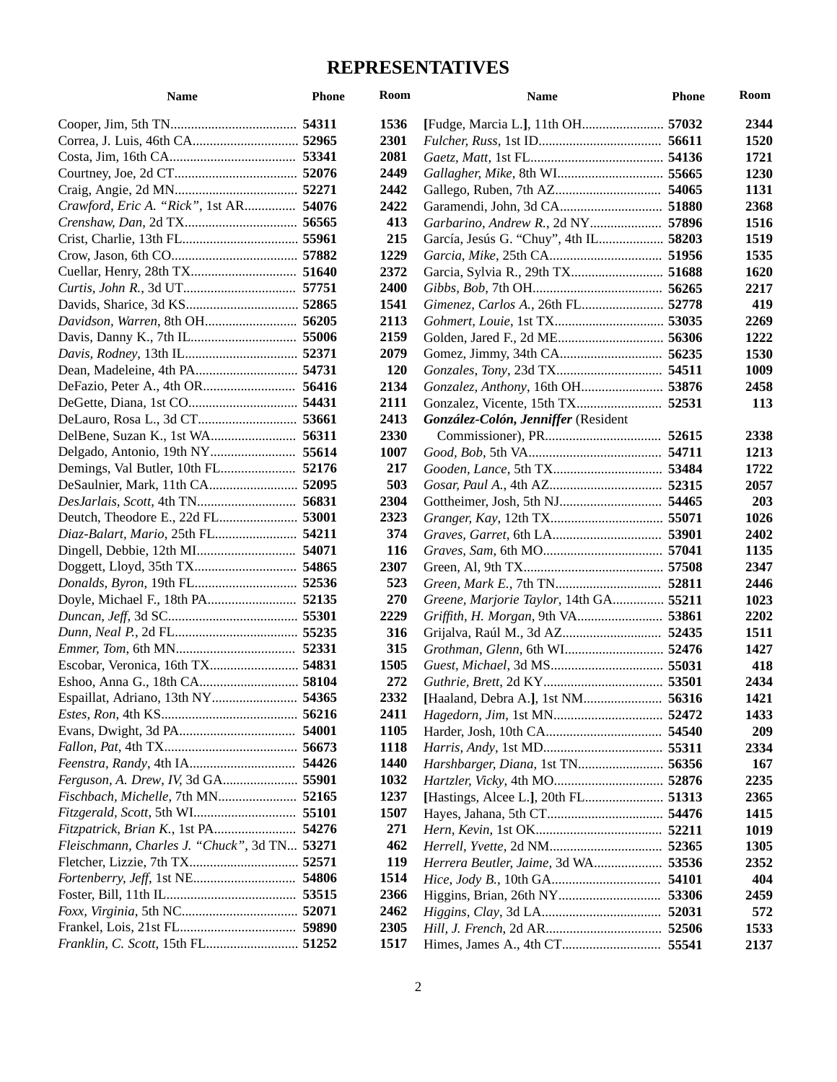| <b>Name</b>                                  | <b>Phone</b> | <b>Room</b> | Name                                   | <b>Phone</b> | Room |
|----------------------------------------------|--------------|-------------|----------------------------------------|--------------|------|
|                                              |              | 1536        |                                        |              | 2344 |
|                                              |              | 2301        |                                        |              | 1520 |
|                                              |              | 2081        |                                        |              | 1721 |
|                                              |              | 2449        |                                        |              | 1230 |
|                                              |              | 2442        |                                        |              | 1131 |
| Crawford, Eric A. "Rick", 1st AR 54076       |              | 2422        |                                        |              | 2368 |
|                                              |              | 413         |                                        | 57896        | 1516 |
|                                              |              | 215         | García, Jesús G. "Chuy", 4th IL 58203  |              | 1519 |
|                                              |              | 1229        |                                        |              | 1535 |
|                                              |              | 2372        | Garcia, Sylvia R., 29th TX 51688       |              | 1620 |
|                                              |              | 2400        |                                        |              | 2217 |
|                                              |              | 1541        | Gimenez, Carlos A., 26th FL 52778      |              | 419  |
|                                              |              | 2113        |                                        |              | 2269 |
|                                              |              | 2159        |                                        | 56306        | 1222 |
|                                              |              | 2079        |                                        |              | 1530 |
|                                              |              | <b>120</b>  |                                        |              | 1009 |
|                                              |              | 2134        |                                        |              | 2458 |
|                                              |              | 2111        |                                        |              | 113  |
|                                              |              | 2413        | González-Colón, Jenniffer (Resident    |              |      |
|                                              |              | 2330        |                                        |              | 2338 |
|                                              |              | 1007        |                                        |              | 1213 |
|                                              |              | 217         |                                        |              | 1722 |
|                                              |              | 503         |                                        |              | 2057 |
|                                              |              | 2304        |                                        |              | 203  |
|                                              |              | 2323        |                                        |              | 1026 |
| Diaz-Balart, Mario, 25th FL 54211            |              | 374         |                                        |              | 2402 |
|                                              |              | 116         |                                        |              | 1135 |
|                                              |              | 2307        |                                        |              | 2347 |
|                                              |              | 523         |                                        |              | 2446 |
|                                              |              | 270         | Greene, Marjorie Taylor, 14th GA 55211 |              | 1023 |
|                                              |              | 2229        |                                        | 53861        | 2202 |
|                                              |              | 316         |                                        |              | 1511 |
|                                              |              | 315         |                                        |              | 1427 |
|                                              |              | 1505        |                                        |              | 418  |
|                                              |              | 272         |                                        |              | 2434 |
|                                              | 54365        | 2332        |                                        | 56316        | 1421 |
|                                              |              | 2411        |                                        |              | 1433 |
|                                              |              | 1105        |                                        |              | 209  |
|                                              |              | <b>1118</b> |                                        |              | 2334 |
|                                              |              | <b>1440</b> | Harshbarger, Diana, 1st TN 56356       |              | 167  |
| Ferguson, A. Drew, IV, 3d GA 55901           |              | 1032        | Hartzler, Vicky, 4th MO 52876          |              | 2235 |
| <i>Fischbach, Michelle, 7th MN</i> 52165     |              | 1237        | [Hastings, Alcee L.], 20th FL 51313    |              | 2365 |
| <i>Fitzgerald, Scott, 5th WI</i> 55101       |              | 1507        |                                        |              | 1415 |
| <i>Fitzpatrick, Brian K., 1st PA</i> 54276   |              | 271         |                                        |              | 1019 |
| Fleischmann, Charles J. "Chuck", 3d TN 53271 |              | 462         |                                        |              | 1305 |
|                                              |              | <b>119</b>  | Herrera Beutler, Jaime, 3d WA 53536    |              | 2352 |
|                                              |              | 1514        |                                        | 54101        | 404  |
|                                              |              | 2366        |                                        | 53306        | 2459 |
|                                              |              | 2462        |                                        |              | 572  |
|                                              |              | 2305        |                                        |              | 1533 |
| Franklin, C. Scott, 15th FL 51252            |              | 1517        |                                        |              | 2137 |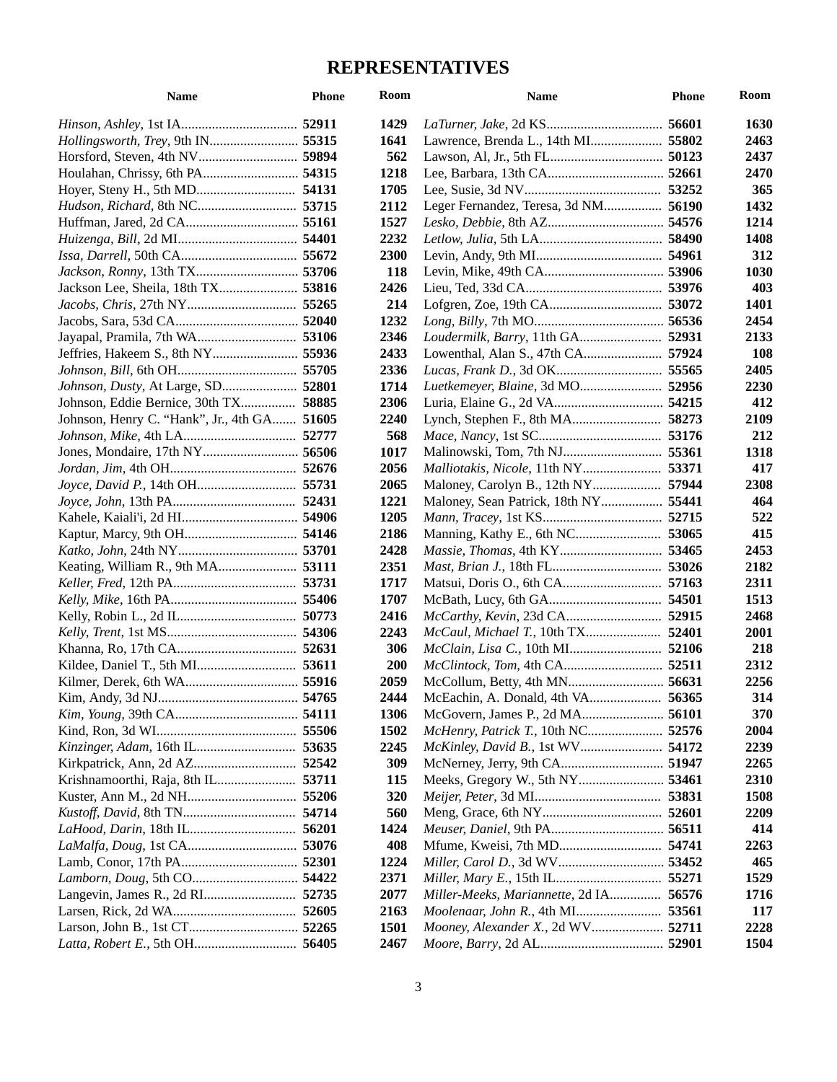| <b>Name</b>                                 | <b>Phone</b> | Room        | <b>Name</b>                            | <b>Phone</b> | Room        |
|---------------------------------------------|--------------|-------------|----------------------------------------|--------------|-------------|
|                                             |              | 1429        |                                        | 56601        | 1630        |
|                                             |              | 1641        |                                        |              | 2463        |
|                                             |              | 562         |                                        |              | 2437        |
|                                             |              | 1218        |                                        |              | 2470        |
|                                             |              | 1705        |                                        |              | 365         |
|                                             |              | 2112        | Leger Fernandez, Teresa, 3d NM         | 56190        | 1432        |
|                                             |              | 1527        |                                        |              | 1214        |
|                                             |              | 2232        |                                        |              | 1408        |
|                                             |              | 2300        |                                        |              | 312         |
|                                             |              | 118         |                                        |              | 1030        |
| Jackson Lee, Sheila, 18th TX 53816          |              | 2426        |                                        |              | 403         |
|                                             |              | 214         |                                        |              | 1401        |
|                                             |              | 1232        |                                        |              | 2454        |
|                                             |              | 2346        |                                        |              | 2133        |
|                                             |              | 2433        |                                        |              | 108         |
|                                             |              | 2336        |                                        |              | 2405        |
|                                             |              | 1714        |                                        |              | 2230        |
|                                             |              | 2306        |                                        | 54215        | 412         |
| Johnson, Henry C. "Hank", Jr., 4th GA 51605 |              | 2240        |                                        |              | 2109        |
|                                             |              | 568         |                                        |              | 212         |
| Jones, Mondaire, 17th NY 56506              |              | 1017        |                                        |              | 1318        |
|                                             |              | 2056        |                                        | 53371        | 417         |
| Joyce, David P., 14th OH 55731              |              | 2065        |                                        | 57944        | 2308        |
|                                             |              | 1221        | Maloney, Sean Patrick, 18th NY 55441   |              | 464         |
|                                             |              | 1205        |                                        |              | 522         |
|                                             |              | 2186        |                                        |              | 415         |
|                                             |              | 2428        |                                        |              | 2453        |
|                                             |              | 2351        |                                        |              | 2182        |
|                                             |              | 1717        |                                        |              | 2311        |
|                                             |              | 1707        |                                        |              | 1513        |
|                                             |              | 2416        |                                        |              | 2468        |
|                                             |              | 2243        | McCaul, Michael T., 10th TX 52401      |              | 2001        |
|                                             |              | 306         | <i>McClain, Lisa C., 10th MI</i> 52106 |              | 218         |
|                                             |              | <b>200</b>  |                                        |              | 2312        |
|                                             |              | 2059        |                                        | 56631        | 2256        |
|                                             | 54765        | 2444        | McEachin. A. Donald. 4th VA            | 56365        | 314         |
|                                             |              | <b>1306</b> | McGovern, James P., 2d MA 56101        |              | 370         |
|                                             |              | 1502        | McHenry, Patrick T., 10th NC 52576     |              | 2004        |
| Kinzinger, Adam, 16th IL 53635              |              | 2245        | McKinley, David B., 1st WV 54172       |              | 2239        |
|                                             |              | 309         |                                        | 51947        | 2265        |
|                                             |              | <b>115</b>  |                                        | 53461        | 2310        |
|                                             |              | <b>320</b>  |                                        | 53831        | <b>1508</b> |
|                                             |              | 560         |                                        |              | 2209        |
|                                             |              | 1424        |                                        | 56511        | 414         |
|                                             |              | 408         |                                        | 54741        | 2263        |
|                                             |              | 1224        |                                        |              | 465         |
|                                             |              | 2371        | <i>Miller, Mary E., 15th IL</i>        | 55271        | 1529        |
| Langevin, James R., 2d RI 52735             |              | 2077        | Miller-Meeks, Mariannette, 2d IA       | 56576        | 1716        |
|                                             |              | 2163        |                                        | 53561        | 117         |
|                                             |              | <b>1501</b> | Mooney, Alexander X., 2d WV 52711      |              | 2228        |
|                                             |              | 2467        |                                        |              | 1504        |
|                                             |              |             |                                        |              |             |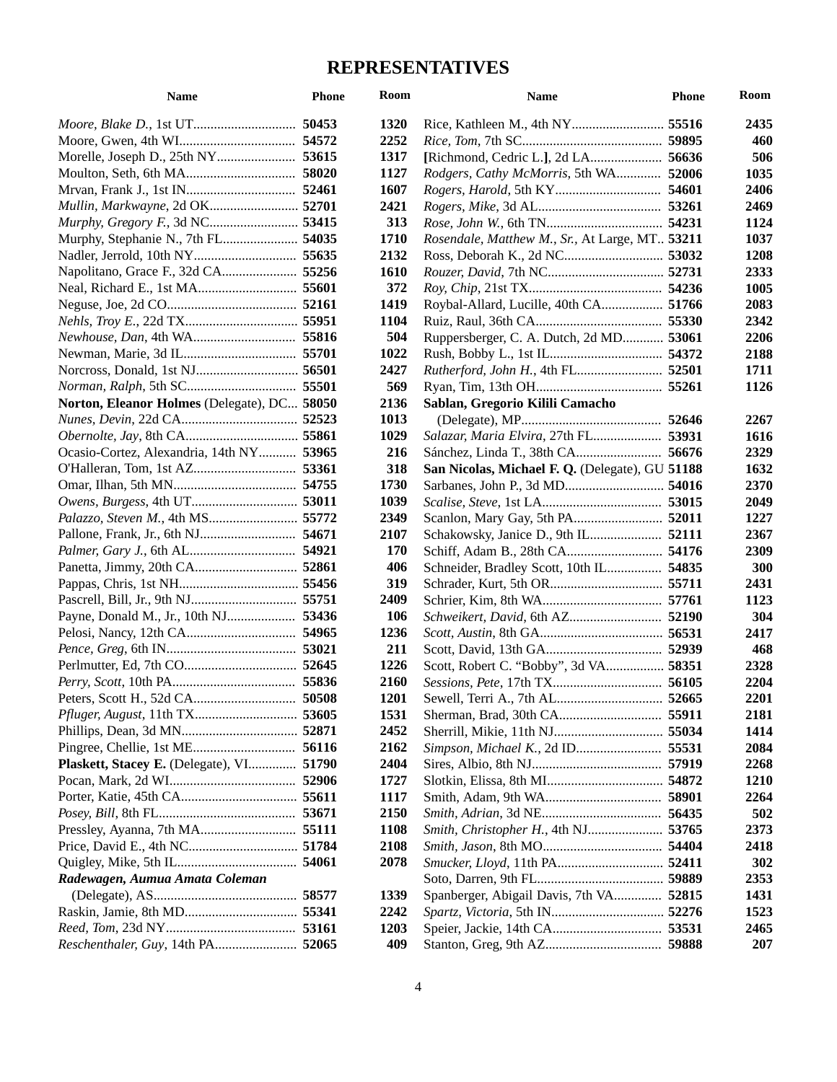| <b>Name</b>                                 | <b>Phone</b> | Room        | Name                                            | <b>Phone</b> | Room        |
|---------------------------------------------|--------------|-------------|-------------------------------------------------|--------------|-------------|
|                                             |              | 1320        |                                                 |              | 2435        |
|                                             |              | 2252        |                                                 |              | 460         |
|                                             |              | 1317        |                                                 | 56636        | 506         |
|                                             |              | 1127        | Rodgers, Cathy McMorris, 5th WA 52006           |              | 1035        |
|                                             |              | 1607        |                                                 | 54601        | 2406        |
| Mullin, Markwayne, 2d OK 52701              |              | 2421        |                                                 |              | 2469        |
|                                             |              | 313         |                                                 | 54231        | 1124        |
| Murphy, Stephanie N., 7th FL 54035          |              | 1710        | Rosendale, Matthew M., Sr., At Large, MT 53211  |              | 1037        |
|                                             |              | 2132        |                                                 |              | 1208        |
|                                             |              | <b>1610</b> |                                                 |              | 2333        |
|                                             |              | 372         |                                                 |              | 1005        |
|                                             |              | 1419        | Roybal-Allard, Lucille, 40th CA 51766           |              | 2083        |
|                                             |              | 1104        |                                                 | 55330        | 2342        |
|                                             |              | 504         | Ruppersberger, C. A. Dutch, 2d MD 53061         |              | 2206        |
|                                             |              | 1022        |                                                 |              | 2188        |
|                                             |              | 2427        | Rutherford, John H., 4th FL 52501               |              | 1711        |
|                                             |              | 569         |                                                 |              | 1126        |
| Norton, Eleanor Holmes (Delegate), DC 58050 |              | 2136        | Sablan, Gregorio Kilili Camacho                 |              |             |
|                                             |              | 1013        |                                                 |              | 2267        |
|                                             |              | 1029        | Salazar, Maria Elvira, 27th FL 53931            |              | 1616        |
| Ocasio-Cortez, Alexandria, 14th NY 53965    |              | 216         |                                                 | 56676        | 2329        |
|                                             |              | 318         | San Nicolas, Michael F. Q. (Delegate), GU 51188 |              | 1632        |
|                                             |              | 1730        | Sarbanes, John P., 3d MD 54016                  |              | 2370        |
|                                             |              | 1039        |                                                 |              | 2049        |
|                                             |              | 2349        |                                                 |              | 1227        |
|                                             |              | 2107        |                                                 |              | 2367        |
|                                             |              | 170         |                                                 |              | 2309        |
|                                             |              | 406         | Schneider, Bradley Scott, 10th IL 54835         |              | 300         |
|                                             |              | 319         |                                                 |              | 2431        |
|                                             |              | 2409        |                                                 |              | 1123        |
|                                             |              | 106         | Schweikert, David, 6th AZ 52190                 |              | 304         |
|                                             |              | 1236        |                                                 |              | 2417        |
|                                             |              | 211         |                                                 |              | 468         |
|                                             |              | 1226        | Scott, Robert C. "Bobby", 3d VA 58351           |              | 2328        |
|                                             |              | 2160        |                                                 | 56105        | 2204        |
|                                             | 50508        | 1201        | Sewell, Terri A., 7th AL 52665                  |              | 2201        |
| Pfluger, August, 11th TX 53605              |              | 1531        |                                                 |              | 2181        |
|                                             |              | 2452        | Sherrill, Mikie, 11th NJ 55034                  |              | 1414        |
|                                             |              | 2162        | Simpson, Michael K., 2d ID 55531                |              | 2084        |
| Plaskett, Stacey E. (Delegate), VI 51790    |              | 2404        |                                                 |              | 2268        |
|                                             |              | 1727        |                                                 |              | <b>1210</b> |
|                                             |              | 1117        |                                                 |              | 2264        |
|                                             |              | 2150        |                                                 | 56435        | 502         |
|                                             |              | <b>1108</b> | Smith, Christopher H., 4th NJ 53765             |              | 2373        |
|                                             |              | 2108        |                                                 |              | 2418        |
|                                             |              | 2078        |                                                 |              | 302         |
| Radewagen, Aumua Amata Coleman              |              |             |                                                 |              | 2353        |
|                                             |              | 1339        | Spanberger, Abigail Davis, 7th VA 52815         |              | 1431        |
|                                             |              | 2242        |                                                 |              | 1523        |
|                                             |              | 1203        |                                                 |              | 2465        |
| Reschenthaler, Guy, 14th PA 52065           |              | 409         |                                                 |              | 207         |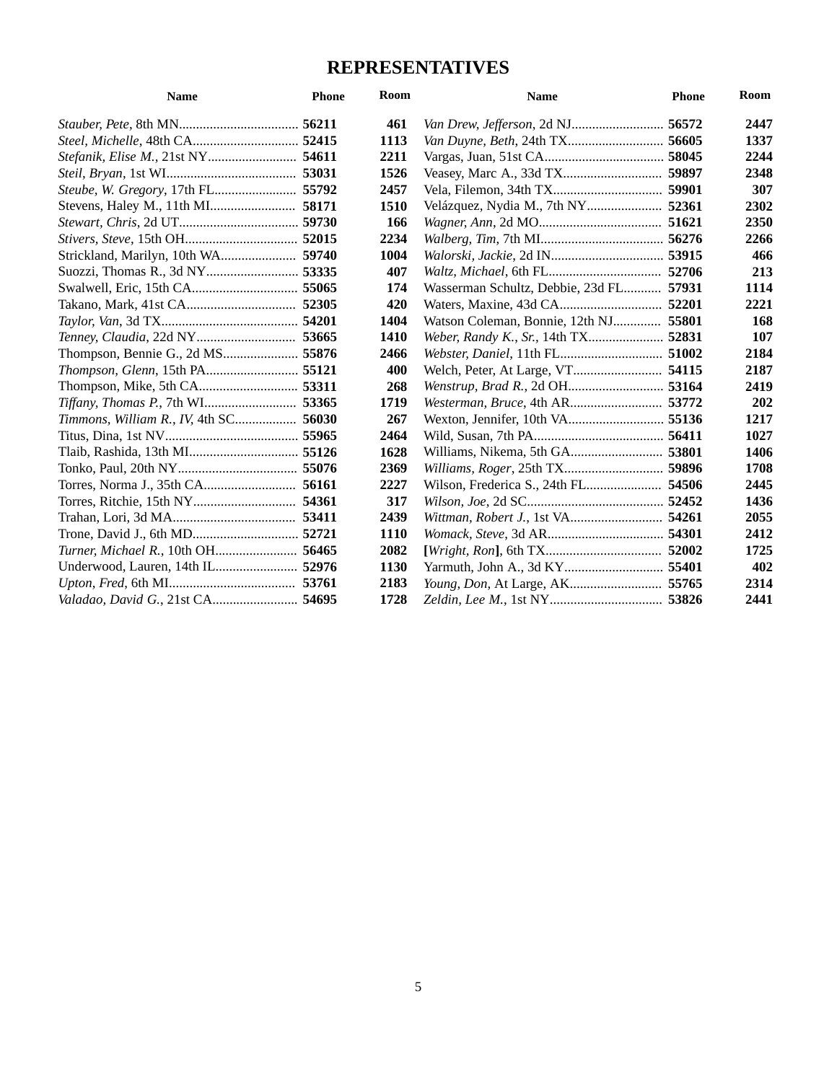| <b>Name</b>                              | <b>Phone</b> | Room | <b>Name</b>                       | <b>Phone</b> | Room |
|------------------------------------------|--------------|------|-----------------------------------|--------------|------|
|                                          |              | 461  |                                   | 56572        | 2447 |
| Steel, Michelle, 48th CA 52415           |              | 1113 |                                   | 56605        | 1337 |
| Stefanik, Elise M., 21st NY 54611        |              | 2211 |                                   | 58045        | 2244 |
|                                          |              | 1526 |                                   | 59897        | 2348 |
| Steube, W. Gregory, 17th FL 55792        |              | 2457 |                                   |              | 307  |
|                                          |              | 1510 |                                   | 52361        | 2302 |
|                                          |              | 166  |                                   | 51621        | 2350 |
|                                          |              | 2234 |                                   |              | 2266 |
| Strickland, Marilyn, 10th WA 59740       |              | 1004 |                                   | 53915        | 466  |
|                                          |              | 407  | <i>Waltz, Michael, 6th FL</i>     | 52706        | 213  |
|                                          |              | 174  | Wasserman Schultz, Debbie, 23d FL | 57931        | 1114 |
|                                          |              | 420  |                                   | 52201        | 2221 |
|                                          |              | 1404 | Watson Coleman, Bonnie, 12th NJ   | 55801        | 168  |
| Tenney, Claudia, 22d NY 53665            |              | 1410 |                                   |              | 107  |
|                                          |              | 2466 |                                   | 51002        | 2184 |
| Thompson, Glenn, 15th PA 55121           |              | 400  |                                   | 54115        | 2187 |
| Thompson, Mike, 5th CA 53311             |              | 268  |                                   |              | 2419 |
| Tiffany, Thomas P., 7th WI 53365         |              | 1719 |                                   |              | 202  |
| Timmons, William R., IV, 4th SC 56030    |              | 267  |                                   |              | 1217 |
|                                          |              | 2464 |                                   |              | 1027 |
|                                          |              | 1628 |                                   | 53801        | 1406 |
|                                          |              | 2369 |                                   | 59896        | 1708 |
|                                          |              | 2227 |                                   | 54506        | 2445 |
|                                          |              | 317  |                                   |              | 1436 |
|                                          |              | 2439 |                                   |              | 2055 |
|                                          |              | 1110 |                                   | 54301        | 2412 |
| <i>Turner, Michael R., 10th OH</i> 56465 |              | 2082 |                                   | 52002        | 1725 |
|                                          |              | 1130 |                                   |              | 402  |
|                                          |              | 2183 |                                   |              | 2314 |
| Valadao, David G., 21st CA 54695         |              | 1728 |                                   |              | 2441 |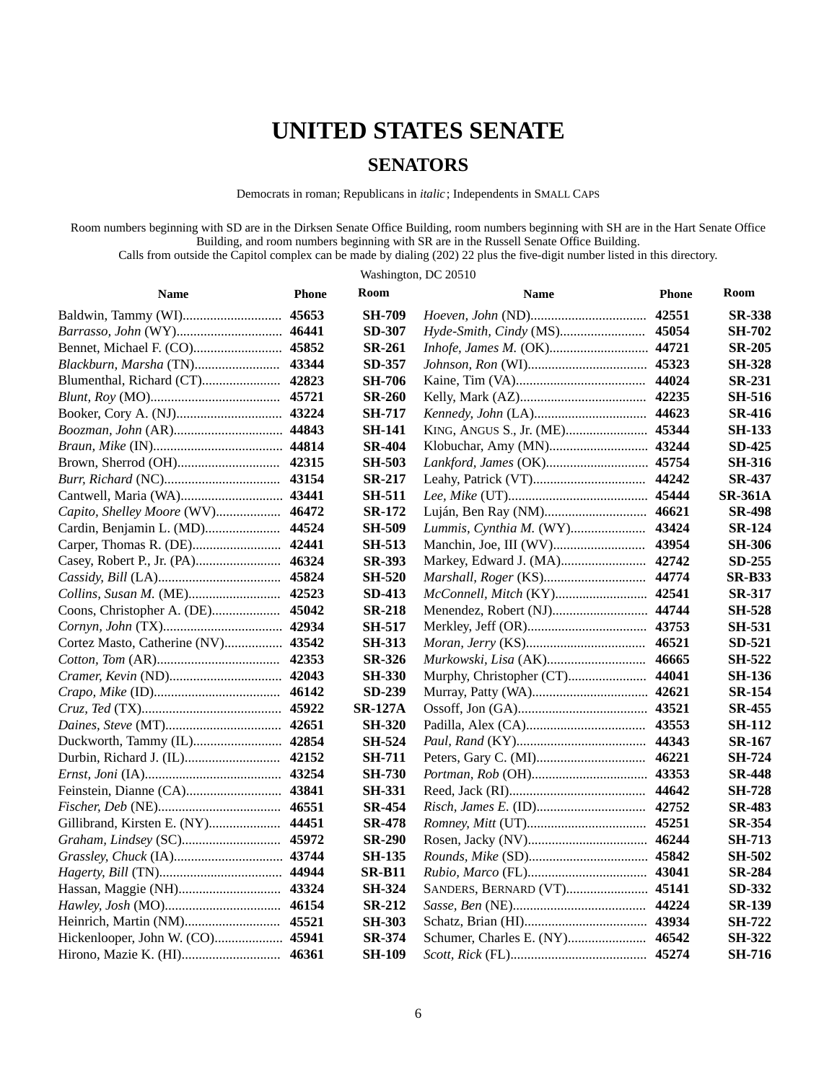# **UNITED STATES SENATE**

#### **SENATORS**

Democrats in roman; Republicans in *italic*; Independents in SMALL CAPS

Room numbers beginning with SD are in the Dirksen Senate Office Building, room numbers beginning with SH are in the Hart Senate Office Building, and room numbers beginning with SR are in the Russell Senate Office Building.

Calls from outside the Capitol complex can be made by dialing (202) 22 plus the five-digit number listed in this directory.

Washington, DC 20510

| <b>Name</b>                        | <b>Phone</b> | Room           | <b>Name</b>                   | <b>Phone</b> | Room           |
|------------------------------------|--------------|----------------|-------------------------------|--------------|----------------|
|                                    | 45653        | <b>SH-709</b>  |                               | 42551        | <b>SR-338</b>  |
| Barrasso, John (WY) 46441          |              | <b>SD-307</b>  |                               | 45054        | SH-702         |
|                                    |              | <b>SR-261</b>  | Inhofe, James M. (OK) 44721   |              | <b>SR-205</b>  |
| Blackburn, Marsha (TN) 43344       |              | SD-357         |                               |              | <b>SH-328</b>  |
| Blumenthal, Richard (CT) 42823     |              | <b>SH-706</b>  |                               |              | <b>SR-231</b>  |
|                                    |              | <b>SR-260</b>  |                               |              | <b>SH-516</b>  |
|                                    |              | <b>SH-717</b>  |                               |              | <b>SR-416</b>  |
|                                    |              | <b>SH-141</b>  |                               |              | <b>SH-133</b>  |
|                                    |              | <b>SR-404</b>  |                               |              | <b>SD-425</b>  |
|                                    |              | <b>SH-503</b>  | Lankford, James (OK) 45754    |              | <b>SH-316</b>  |
|                                    |              | <b>SR-217</b>  |                               |              | <b>SR-437</b>  |
|                                    |              | <b>SH-511</b>  |                               |              | <b>SR-361A</b> |
| Capito, Shelley Moore (WV) 46472   |              | <b>SR-172</b>  |                               |              | <b>SR-498</b>  |
| Cardin, Benjamin L. (MD) 44524     |              | <b>SH-509</b>  | Lummis, Cynthia M. (WY) 43424 |              | <b>SR-124</b>  |
| Carper, Thomas R. (DE) 42441       |              | <b>SH-513</b>  |                               |              | <b>SH-306</b>  |
| Casey, Robert P., Jr. (PA) 46324   |              | <b>SR-393</b>  |                               |              | <b>SD-255</b>  |
|                                    |              | <b>SH-520</b>  |                               | 44774        | <b>SR-B33</b>  |
| Collins, Susan M. (ME) 42523       |              | <b>SD-413</b>  |                               |              | <b>SR-317</b>  |
| Coons, Christopher A. (DE) 45042   |              | <b>SR-218</b>  | Menendez, Robert (NJ) 44744   |              | <b>SH-528</b>  |
|                                    |              | <b>SH-517</b>  |                               |              | <b>SH-531</b>  |
| Cortez Masto, Catherine (NV) 43542 |              | <b>SH-313</b>  |                               |              | SD-521         |
|                                    |              | <b>SR-326</b>  | Murkowski, Lisa (AK) 46665    |              | <b>SH-522</b>  |
|                                    |              | <b>SH-330</b>  |                               | 44041        | <b>SH-136</b>  |
|                                    |              | <b>SD-239</b>  |                               |              | <b>SR-154</b>  |
|                                    |              | <b>SR-127A</b> |                               |              | <b>SR-455</b>  |
|                                    |              | <b>SH-320</b>  |                               |              | <b>SH-112</b>  |
| Duckworth, Tammy (IL) 42854        |              | SH-524         |                               |              | <b>SR-167</b>  |
| Durbin, Richard J. (IL) 42152      |              | <b>SH-711</b>  |                               |              | <b>SH-724</b>  |
|                                    |              | <b>SH-730</b>  |                               |              | <b>SR-448</b>  |
|                                    |              | <b>SH-331</b>  |                               |              | <b>SH-728</b>  |
|                                    |              | <b>SR-454</b>  |                               |              | <b>SR-483</b>  |
| Gillibrand, Kirsten E. (NY) 44451  |              | <b>SR-478</b>  |                               |              | <b>SR-354</b>  |
| Graham, Lindsey (SC) 45972         |              | <b>SR-290</b>  |                               |              | <b>SH-713</b>  |
|                                    |              | <b>SH-135</b>  |                               |              | <b>SH-502</b>  |
|                                    |              | <b>SR-B11</b>  |                               |              | <b>SR-284</b>  |
| Hassan, Maggie (NH) 43324          |              | <b>SH-324</b>  | SANDERS, BERNARD (VT) 45141   |              | SD-332         |
|                                    |              | <b>SR-212</b>  |                               |              | <b>SR-139</b>  |
| Heinrich, Martin (NM) 45521        |              | <b>SH-303</b>  |                               |              | <b>SH-722</b>  |
| Hickenlooper, John W. (CO) 45941   |              | <b>SR-374</b>  |                               |              | <b>SH-322</b>  |
|                                    |              | <b>SH-109</b>  |                               |              | <b>SH-716</b>  |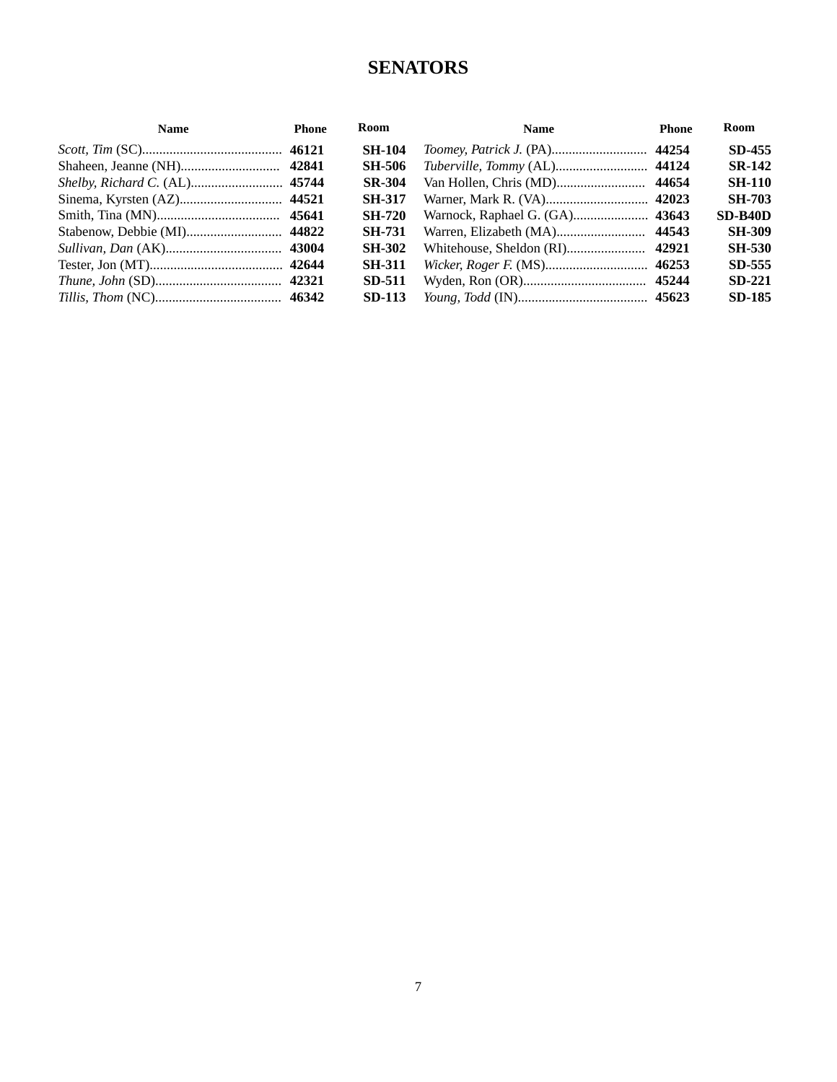#### **SENATORS**

| <b>Name</b> | Phone | Room          | <b>Name</b>                   | <b>Phone</b> | <b>Room</b>   |
|-------------|-------|---------------|-------------------------------|--------------|---------------|
|             |       | <b>SH-104</b> | Toomey, Patrick J. (PA) 44254 |              | <b>SD-455</b> |
|             |       | <b>SH-506</b> |                               |              | <b>SR-142</b> |
|             |       | <b>SR-304</b> |                               | 44654        | <b>SH-110</b> |
|             |       | <b>SH-317</b> |                               |              | <b>SH-703</b> |
|             |       | <b>SH-720</b> |                               |              | $SD-B40D$     |
|             |       | <b>SH-731</b> |                               |              | <b>SH-309</b> |
|             |       | <b>SH-302</b> |                               | 42921        | <b>SH-530</b> |
|             |       | <b>SH-311</b> |                               |              | <b>SD-555</b> |
|             |       | <b>SD-511</b> |                               |              | $SD-221$      |
|             |       | <b>SD-113</b> |                               |              | <b>SD-185</b> |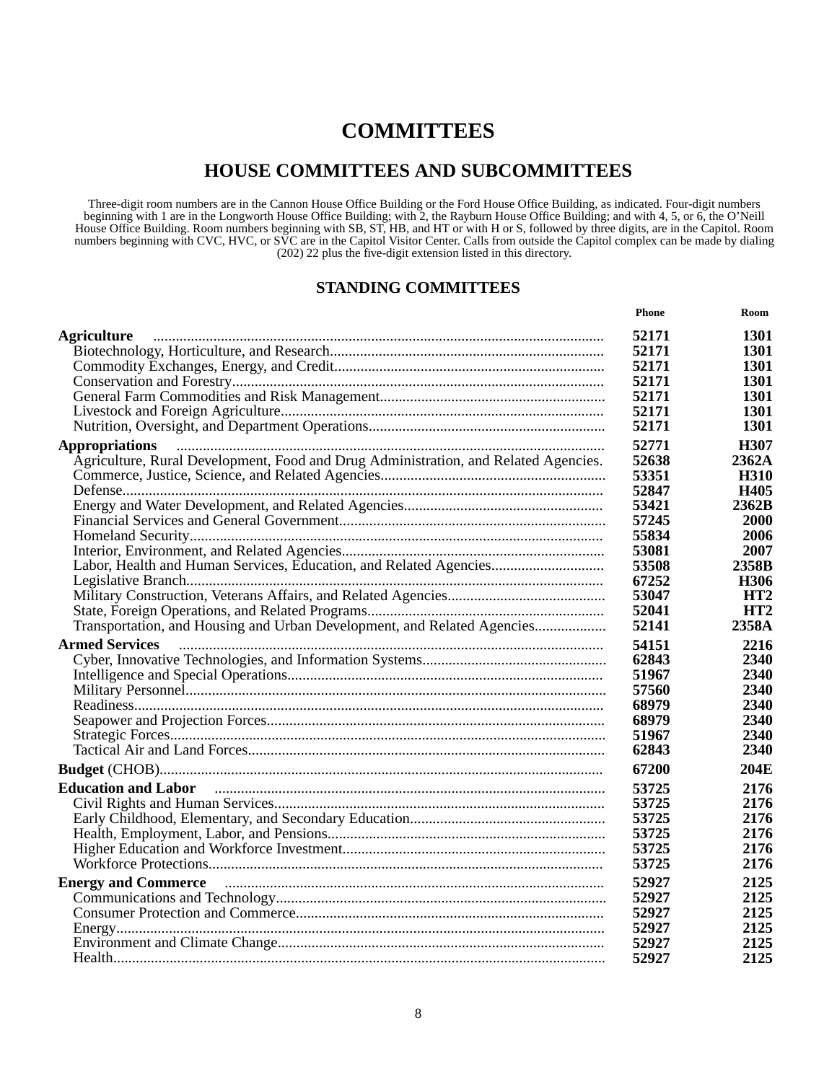#### **HOUSE COMMITTEES AND SUBCOMMITTEES**

Three-digit room numbers are in the Cannon House Office Building or the Ford House Office Building, as indicated. Four-digit numbers beginning with 1 are in the Longworth House Office Building; with 2, the Rayburn House Office Building; and with 4, 5, or 6, the O'Neill House Office Building. Room numbers beginning with SB, ST, HB, and HT or with H or S, followed by three digits, are in the Capitol. Room numbers beginning with CVC, HVC, or SVC are in the Capitol Visitor Center. Calls from outside the Capitol complex can be made by dialing (202) 22 plus the five-digit extension listed in this directory.

#### **STANDING COMMITTEES**

|                                                                                                                                                                                                                                     | Phone | Room            |
|-------------------------------------------------------------------------------------------------------------------------------------------------------------------------------------------------------------------------------------|-------|-----------------|
| <b>Agriculture</b>                                                                                                                                                                                                                  | 52171 | 1301            |
|                                                                                                                                                                                                                                     | 52171 | 1301            |
|                                                                                                                                                                                                                                     | 52171 | 1301            |
|                                                                                                                                                                                                                                     | 52171 | 1301            |
|                                                                                                                                                                                                                                     | 52171 | 1301            |
|                                                                                                                                                                                                                                     | 52171 | 1301            |
|                                                                                                                                                                                                                                     | 52171 | 1301            |
| <b>Appropriations</b>                                                                                                                                                                                                               | 52771 | H307            |
| Agriculture, Rural Development, Food and Drug Administration, and Related Agencies.                                                                                                                                                 | 52638 | 2362A           |
|                                                                                                                                                                                                                                     | 53351 | <b>H310</b>     |
|                                                                                                                                                                                                                                     | 52847 | H405            |
|                                                                                                                                                                                                                                     | 53421 | 2362B           |
|                                                                                                                                                                                                                                     | 57245 | 2000            |
|                                                                                                                                                                                                                                     | 55834 | 2006            |
|                                                                                                                                                                                                                                     | 53081 | 2007            |
| Labor, Health and Human Services, Education, and Related Agencies                                                                                                                                                                   | 53508 | 2358B           |
|                                                                                                                                                                                                                                     | 67252 | H306            |
|                                                                                                                                                                                                                                     | 53047 | HT <sub>2</sub> |
|                                                                                                                                                                                                                                     | 52041 | HT <sub>2</sub> |
| Transportation, and Housing and Urban Development, and Related Agencies                                                                                                                                                             | 52141 | 2358A           |
| <b>Armed Services</b>                                                                                                                                                                                                               | 54151 | 2216            |
|                                                                                                                                                                                                                                     | 62843 | 2340            |
|                                                                                                                                                                                                                                     | 51967 | 2340            |
|                                                                                                                                                                                                                                     | 57560 | 2340            |
|                                                                                                                                                                                                                                     | 68979 | 2340            |
|                                                                                                                                                                                                                                     | 68979 | 2340            |
|                                                                                                                                                                                                                                     | 51967 | 2340            |
|                                                                                                                                                                                                                                     | 62843 | 2340            |
|                                                                                                                                                                                                                                     | 67200 | 204E            |
| <b>Education and Labor</b>                                                                                                                                                                                                          | 53725 | 2176            |
|                                                                                                                                                                                                                                     | 53725 | 2176            |
|                                                                                                                                                                                                                                     | 53725 | 2176            |
|                                                                                                                                                                                                                                     | 53725 | 2176            |
|                                                                                                                                                                                                                                     | 53725 | 2176            |
|                                                                                                                                                                                                                                     | 53725 | 2176            |
| Energy and Commerce <b>contract and community</b> contract to the contract of the contract of the contract of the contract of the contract of the contract of the contract of the contract of the contract of the contract of the c | 52927 | 2125            |
|                                                                                                                                                                                                                                     | 52927 | 2125            |
|                                                                                                                                                                                                                                     | 52927 | 2125            |
|                                                                                                                                                                                                                                     | 52927 | 2125            |
|                                                                                                                                                                                                                                     | 52927 | 2125            |
|                                                                                                                                                                                                                                     | 52927 | 2125            |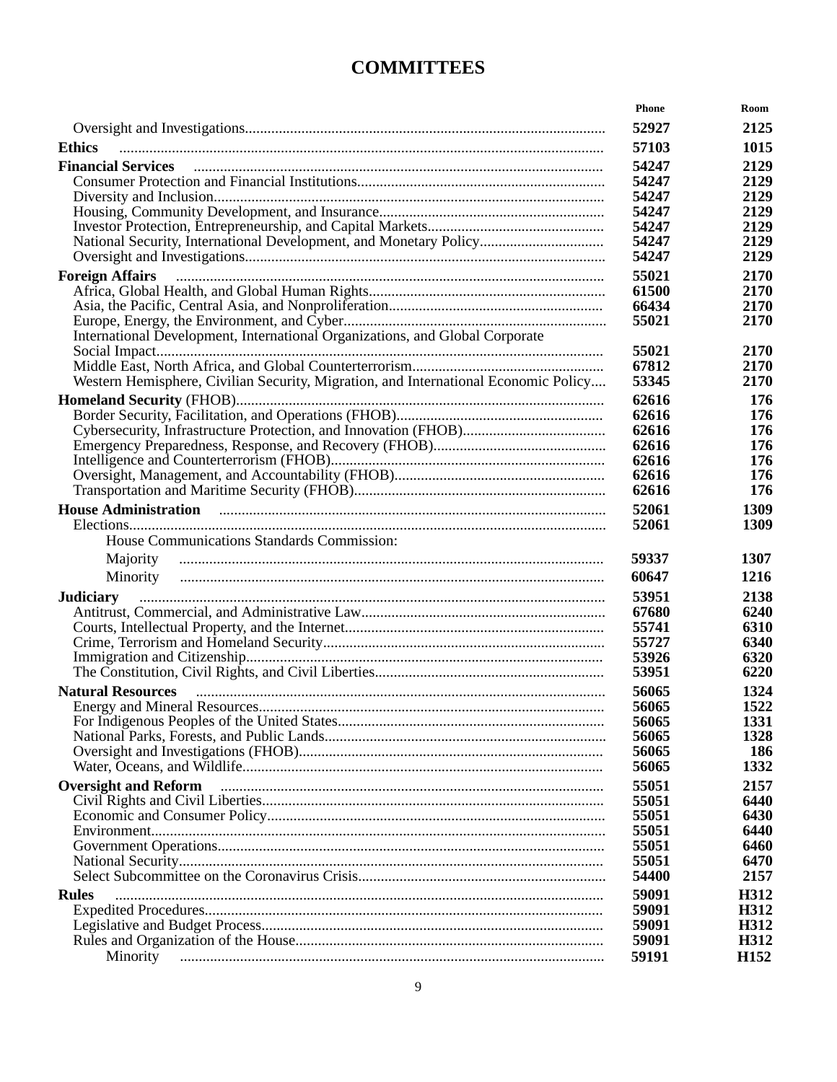|                                                                                                                                                                                                                                     | Phone          | Room             |
|-------------------------------------------------------------------------------------------------------------------------------------------------------------------------------------------------------------------------------------|----------------|------------------|
|                                                                                                                                                                                                                                     | 52927          | 2125             |
| <b>Ethics</b>                                                                                                                                                                                                                       | 57103          | 1015             |
| <b>Financial Services</b>                                                                                                                                                                                                           | 54247          | 2129             |
|                                                                                                                                                                                                                                     | 54247          | 2129             |
|                                                                                                                                                                                                                                     | 54247          | 2129             |
|                                                                                                                                                                                                                                     | 54247          | 2129             |
|                                                                                                                                                                                                                                     | 54247          | 2129             |
|                                                                                                                                                                                                                                     | 54247          | 2129             |
|                                                                                                                                                                                                                                     | 54247          | 2129             |
| <b>Foreign Affairs</b>                                                                                                                                                                                                              | 55021          | 2170             |
|                                                                                                                                                                                                                                     | 61500          | 2170             |
|                                                                                                                                                                                                                                     | 66434          | 2170             |
|                                                                                                                                                                                                                                     | 55021          | 2170             |
| International Development, International Organizations, and Global Corporate                                                                                                                                                        |                |                  |
|                                                                                                                                                                                                                                     | 55021          | 2170             |
| Western Hemisphere, Civilian Security, Migration, and International Economic Policy                                                                                                                                                 | 67812          | 2170             |
|                                                                                                                                                                                                                                     | 53345          | 2170             |
|                                                                                                                                                                                                                                     | 62616          | 176              |
|                                                                                                                                                                                                                                     | 62616          | 176              |
|                                                                                                                                                                                                                                     | 62616<br>62616 | 176              |
|                                                                                                                                                                                                                                     | 62616          | 176<br>176       |
|                                                                                                                                                                                                                                     | 62616          | 176              |
|                                                                                                                                                                                                                                     | 62616          | 176              |
| House Administration <b>contracts</b> and contracts and contracts and contracts and contracts and contracts and contracts and contracts and contracts and contracts and contracts and contracts and contracts and contracts and con | 52061          | 1309             |
|                                                                                                                                                                                                                                     | 52061          | 1309             |
| House Communications Standards Commission:                                                                                                                                                                                          |                |                  |
|                                                                                                                                                                                                                                     |                |                  |
| Majority                                                                                                                                                                                                                            | 59337          | 1307             |
| Minority                                                                                                                                                                                                                            | 60647          | 1216             |
| <b>Judiciary</b>                                                                                                                                                                                                                    | 53951          | 2138             |
|                                                                                                                                                                                                                                     | 67680          | 6240             |
|                                                                                                                                                                                                                                     | 55741          | 6310             |
|                                                                                                                                                                                                                                     | 55727          | 6340             |
|                                                                                                                                                                                                                                     | 53926          | 6320             |
|                                                                                                                                                                                                                                     | 53951          | 6220             |
| <b>Natural Resources</b>                                                                                                                                                                                                            | 56065          | 1324             |
|                                                                                                                                                                                                                                     | 56065          | 1522             |
|                                                                                                                                                                                                                                     | 56065<br>56065 | 1331<br>1328     |
|                                                                                                                                                                                                                                     | 56065          | 186              |
|                                                                                                                                                                                                                                     | 56065          | 1332             |
| <b>Oversight and Reform</b>                                                                                                                                                                                                         | 55051          | 2157             |
|                                                                                                                                                                                                                                     | 55051          | 6440             |
|                                                                                                                                                                                                                                     | 55051          | 6430             |
|                                                                                                                                                                                                                                     | 55051          | 6440             |
|                                                                                                                                                                                                                                     | 55051          | 6460             |
|                                                                                                                                                                                                                                     | 55051          | 6470             |
|                                                                                                                                                                                                                                     | 54400          | 2157             |
| <b>Rules</b>                                                                                                                                                                                                                        | 59091          | H312             |
|                                                                                                                                                                                                                                     | 59091          | H312             |
|                                                                                                                                                                                                                                     | 59091          | H312             |
|                                                                                                                                                                                                                                     | 59091          | H312             |
| Minority                                                                                                                                                                                                                            | 59191          | H <sub>152</sub> |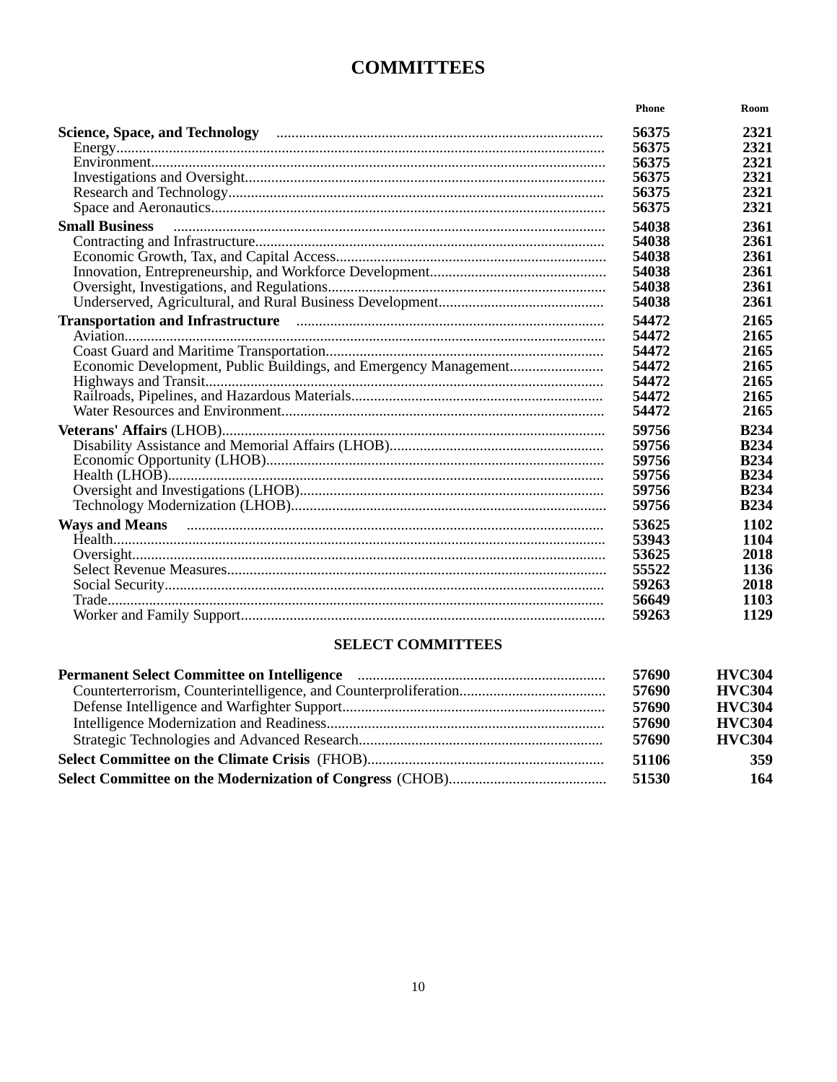|                                                                                                                                                                                                                                     | Phone | Room        |
|-------------------------------------------------------------------------------------------------------------------------------------------------------------------------------------------------------------------------------------|-------|-------------|
|                                                                                                                                                                                                                                     | 56375 | 2321        |
|                                                                                                                                                                                                                                     | 56375 | 2321        |
|                                                                                                                                                                                                                                     | 56375 | 2321        |
|                                                                                                                                                                                                                                     | 56375 | 2321        |
|                                                                                                                                                                                                                                     | 56375 | 2321        |
|                                                                                                                                                                                                                                     | 56375 | 2321        |
| <b>Small Business</b>                                                                                                                                                                                                               | 54038 | 2361        |
|                                                                                                                                                                                                                                     | 54038 | 2361        |
|                                                                                                                                                                                                                                     | 54038 | 2361        |
|                                                                                                                                                                                                                                     | 54038 | 2361        |
|                                                                                                                                                                                                                                     | 54038 | 2361        |
|                                                                                                                                                                                                                                     | 54038 | 2361        |
| Transportation and Infrastructure <i>manufacture and infrastructure</i> and infrastructure and infrastructure and infrastructure and infrastructure and infrastructure and infrastructure and infrastructure and infrastructure and | 54472 | 2165        |
|                                                                                                                                                                                                                                     | 54472 | 2165        |
|                                                                                                                                                                                                                                     | 54472 | 2165        |
|                                                                                                                                                                                                                                     | 54472 | 2165        |
|                                                                                                                                                                                                                                     | 54472 | 2165        |
|                                                                                                                                                                                                                                     | 54472 | 2165        |
|                                                                                                                                                                                                                                     | 54472 | 2165        |
|                                                                                                                                                                                                                                     | 59756 | <b>B234</b> |
|                                                                                                                                                                                                                                     | 59756 | <b>B234</b> |
|                                                                                                                                                                                                                                     | 59756 | <b>B234</b> |
|                                                                                                                                                                                                                                     | 59756 | <b>B234</b> |
|                                                                                                                                                                                                                                     | 59756 | <b>B234</b> |
|                                                                                                                                                                                                                                     | 59756 | <b>B234</b> |
| Ways and Means manufactured and means of the manufactured and Means manufactured and means of the manufactured and means of the manufactured and means of the manufactured and means of the manufactured and means of the manu      | 53625 | 1102        |
|                                                                                                                                                                                                                                     | 53943 | 1104        |
|                                                                                                                                                                                                                                     | 53625 | 2018        |
|                                                                                                                                                                                                                                     | 55522 | 1136        |
|                                                                                                                                                                                                                                     | 59263 | 2018        |
|                                                                                                                                                                                                                                     | 56649 | 1103        |
|                                                                                                                                                                                                                                     | 59263 | 1129        |

#### **SELECT COMMITTEES**

| 57690 | <b>HVC304</b> |
|-------|---------------|
| 57690 | <b>HVC304</b> |
| 57690 | <b>HVC304</b> |
| 57690 | <b>HVC304</b> |
| 57690 | <b>HVC304</b> |
| 51106 | 359           |
| 51530 | 164           |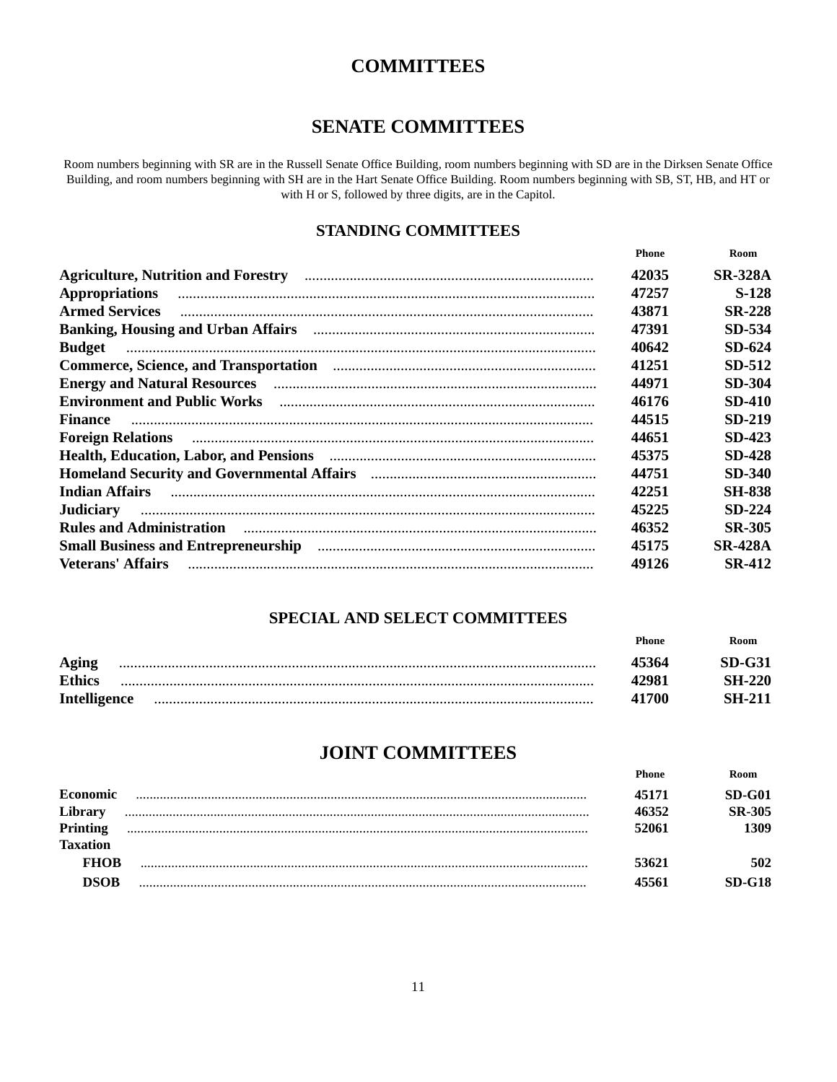#### **SENATE COMMITTEES**

Room numbers beginning with SR are in the Russell Senate Office Building, room numbers beginning with SD are in the Dirksen Senate Office Building, and room numbers beginning with SH are in the Hart Senate Office Building. Room numbers beginning with SB, ST, HB, and HT or with H or S, followed by three digits, are in the Capitol.

#### **STANDING COMMITTEES**

|                                                                                                                                                                                                                                    | <b>Phone</b> | Room           |
|------------------------------------------------------------------------------------------------------------------------------------------------------------------------------------------------------------------------------------|--------------|----------------|
|                                                                                                                                                                                                                                    | 42035        | <b>SR-328A</b> |
| <b>Appropriations</b>                                                                                                                                                                                                              | 47257        | $S-128$        |
| <b>Armed Services</b>                                                                                                                                                                                                              | 43871        | <b>SR-228</b>  |
|                                                                                                                                                                                                                                    | 47391        | SD-534         |
| <b>Budget</b>                                                                                                                                                                                                                      | 40642        | SD-624         |
|                                                                                                                                                                                                                                    | 41251        | SD-512         |
|                                                                                                                                                                                                                                    | 44971        | SD-304         |
|                                                                                                                                                                                                                                    | 46176        | <b>SD-410</b>  |
| <b>Finance</b>                                                                                                                                                                                                                     | 44515        | SD-219         |
| Foreign Relations <b>Example 2</b> in the contract of the contract of the contract of the contract of the contract of the contract of the contract of the contract of the contract of the contract of the contract of the contract | 44651        | <b>SD-423</b>  |
|                                                                                                                                                                                                                                    | 45375        | <b>SD-428</b>  |
|                                                                                                                                                                                                                                    | 44751        | SD-340         |
| Indian Affairs <b>continuum continuum continuum contract a</b> contract a contract of the contract of the contract of the contract of the contract of the contract of the contract of the contract of the contract of the contract | 42251        | <b>SH-838</b>  |
| <b>Judiciary</b>                                                                                                                                                                                                                   | 45225        | $SD-224$       |
| Rules and Administration manufactured and administration manufactured and administration                                                                                                                                           | 46352        | <b>SR-305</b>  |
|                                                                                                                                                                                                                                    | 45175        | <b>SR-428A</b> |
| <b>Veterans' Affairs</b>                                                                                                                                                                                                           | 49126        | <b>SR-412</b>  |

#### **SPECIAL AND SELECT COMMITTEES**

Phone

Room

|                     | .     |               |
|---------------------|-------|---------------|
| Aging               | 45364 | $SD-G31$      |
| <b>Ethics</b>       | 42981 | <b>SH-220</b> |
| <b>Intelligence</b> | 41700 | <b>SH-211</b> |

#### **JOINT COMMITTEES**

|                 | Phone | Room          |
|-----------------|-------|---------------|
| Economic        | 45171 | $SD-G01$      |
| Library         | 46352 | <b>SR-305</b> |
| <b>Printing</b> | 52061 | 1309          |
| <b>Taxation</b> |       |               |
| <b>FHOB</b>     | 53621 | 502           |
| <b>DSOB</b>     | 45561 | $SD-G18$      |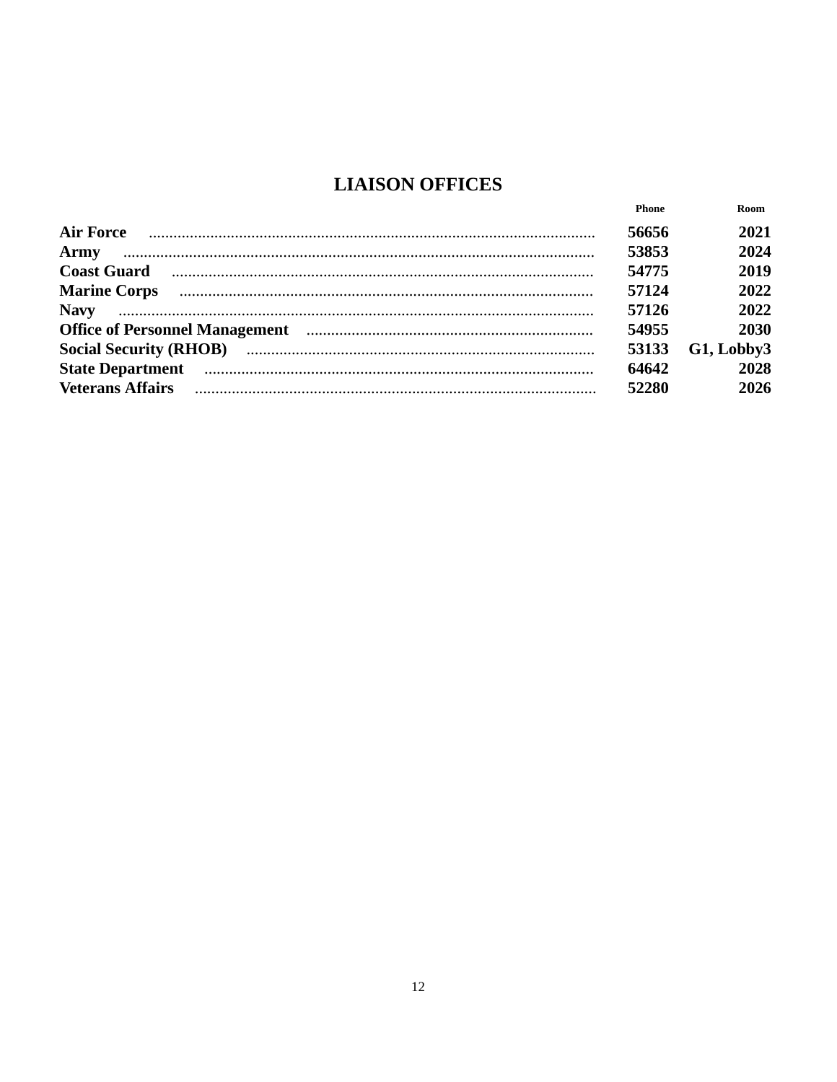### **LIAISON OFFICES**

|                                                                                                                                                                                                                               | Phone | Room       |
|-------------------------------------------------------------------------------------------------------------------------------------------------------------------------------------------------------------------------------|-------|------------|
| <b>Air Force</b>                                                                                                                                                                                                              | 56656 | 2021       |
| Army                                                                                                                                                                                                                          | 53853 | 2024       |
| <b>Coast Guard</b>                                                                                                                                                                                                            | 54775 | 2019       |
| Marine Corps <b>contract and the Corps contract of the Corps contract and the Corps contract of the Corps contract of the Corps</b>                                                                                           | 57124 | 2022       |
| <b>Navy</b>                                                                                                                                                                                                                   | 57126 | 2022       |
|                                                                                                                                                                                                                               | 54955 | 2030       |
|                                                                                                                                                                                                                               | 53133 | G1, Lobby3 |
| State Department manufactured and contact the contract of the contract of the contract of the contract of the contract of the contract of the contract of the contract of the contract of the contract of the contract of the | 64642 | 2028       |
| <b>Veterans Affairs</b>                                                                                                                                                                                                       | 52280 | 2026       |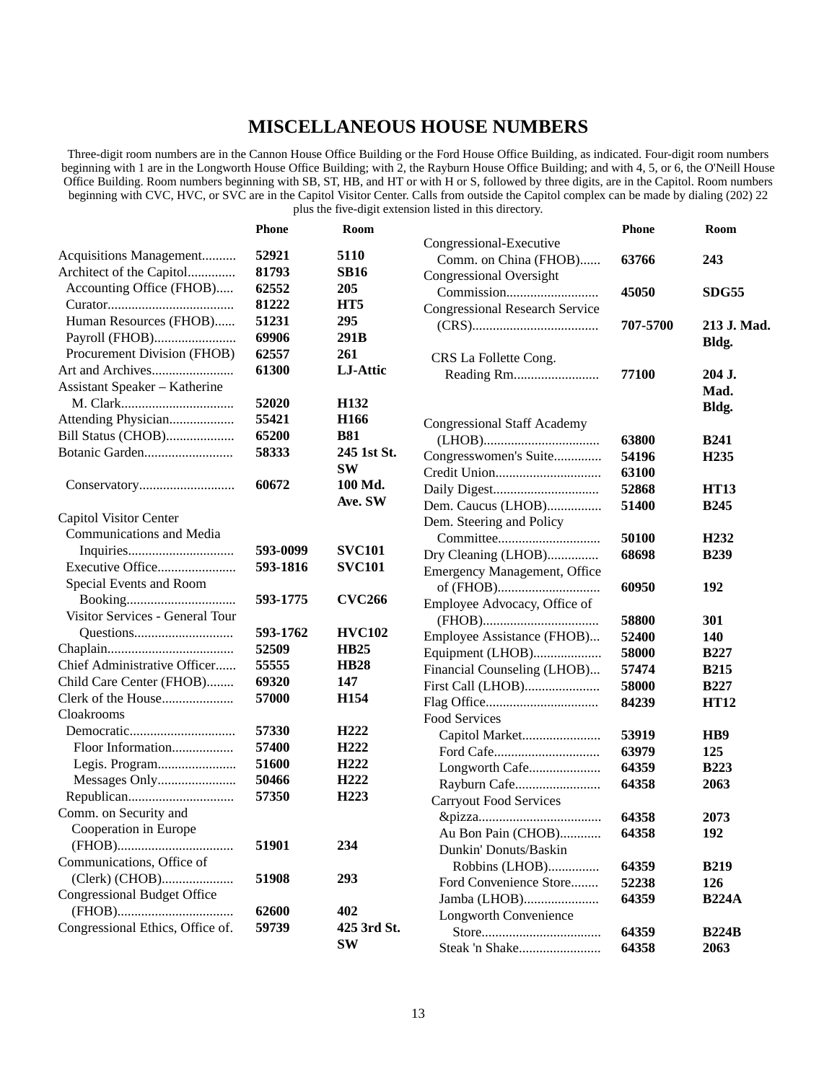#### **MISCELLANEOUS HOUSE NUMBERS**

Three-digit room numbers are in the Cannon House Office Building or the Ford House Office Building, as indicated. Four-digit room numbers beginning with 1 are in the Longworth House Office Building; with 2, the Rayburn House Office Building; and with 4, 5, or 6, the O'Neill House Office Building. Room numbers beginning with SB, ST, HB, and HT or with H or S, followed by three digits, are in the Capitol. Room numbers beginning with CVC, HVC, or SVC are in the Capitol Visitor Center. Calls from outside the Capitol complex can be made by dialing (202) 22 plus the five-digit extension listed in this directory.

|                                    | <b>Phone</b> | Room             |                                       | <b>Phone</b> | Room             |
|------------------------------------|--------------|------------------|---------------------------------------|--------------|------------------|
|                                    |              |                  | Congressional-Executive               |              |                  |
| Acquisitions Management            | 52921        | 5110             | Comm. on China (FHOB)                 | 63766        | 243              |
| Architect of the Capitol           | 81793        | <b>SB16</b>      | Congressional Oversight               |              |                  |
| Accounting Office (FHOB)           | 62552        | 205              |                                       | 45050        | <b>SDG55</b>     |
|                                    | 81222        | HT <sub>5</sub>  | <b>Congressional Research Service</b> |              |                  |
| Human Resources (FHOB)             | 51231        | 295              |                                       | 707-5700     | 213 J. Mad.      |
| Payroll (FHOB)                     | 69906        | 291B             |                                       |              | Bldg.            |
| Procurement Division (FHOB)        | 62557        | 261              | CRS La Follette Cong.                 |              |                  |
|                                    | 61300        | LJ-Attic         |                                       | 77100        | 204 J.           |
| Assistant Speaker - Katherine      |              |                  |                                       |              | Mad.             |
|                                    | 52020        | H <sub>132</sub> |                                       |              | Bldg.            |
| Attending Physician                | 55421        | H <sub>166</sub> | <b>Congressional Staff Academy</b>    |              |                  |
| Bill Status (CHOB)                 | 65200        | <b>B81</b>       |                                       | 63800        | <b>B241</b>      |
|                                    | 58333        | 245 1st St.      | Congresswomen's Suite                 | 54196        | H <sub>235</sub> |
|                                    |              | <b>SW</b>        |                                       | 63100        |                  |
|                                    | 60672        | 100 Md.          |                                       | 52868        | <b>HT13</b>      |
|                                    |              | Ave. SW          | Dem. Caucus (LHOB)                    | 51400        | <b>B245</b>      |
| Capitol Visitor Center             |              |                  | Dem. Steering and Policy              |              |                  |
| Communications and Media           |              |                  |                                       | 50100        | H <sub>232</sub> |
|                                    | 593-0099     | <b>SVC101</b>    | Dry Cleaning (LHOB)                   | 68698        | <b>B239</b>      |
| Executive Office                   | 593-1816     | <b>SVC101</b>    | <b>Emergency Management, Office</b>   |              |                  |
| Special Events and Room            |              |                  |                                       | 60950        | 192              |
|                                    | 593-1775     | <b>CVC266</b>    | Employee Advocacy, Office of          |              |                  |
| Visitor Services - General Tour    |              |                  |                                       | 58800        | 301              |
|                                    | 593-1762     | <b>HVC102</b>    | Employee Assistance (FHOB)            | 52400        | 140              |
|                                    | 52509        | <b>HB25</b>      |                                       | 58000        | <b>B227</b>      |
| Chief Administrative Officer       | 55555        | <b>HB28</b>      | Equipment (LHOB)                      | 57474        | <b>B215</b>      |
| Child Care Center (FHOB)           | 69320        | 147              | Financial Counseling (LHOB)           |              |                  |
|                                    | 57000        | H154             | First Call (LHOB)                     | 58000        | <b>B227</b>      |
| Cloakrooms                         |              |                  |                                       | 84239        | <b>HT12</b>      |
|                                    | 57330        | H <sub>222</sub> | Food Services                         |              |                  |
| Floor Information                  | 57400        | H <sub>222</sub> |                                       | 53919        | H <sub>B</sub>   |
|                                    | 51600        | H <sub>222</sub> |                                       | 63979        | 125              |
|                                    | 50466        | H <sub>222</sub> | Longworth Cafe                        | 64359        | <b>B223</b>      |
|                                    | 57350        | H <sub>223</sub> | Rayburn Cafe                          | 64358        | 2063             |
| Comm. on Security and              |              |                  | <b>Carryout Food Services</b>         |              |                  |
| Cooperation in Europe              |              |                  |                                       | 64358        | 2073             |
|                                    | 51901        | 234              | Au Bon Pain (CHOB)                    | 64358        | 192              |
| Communications, Office of          |              |                  | Dunkin' Donuts/Baskin                 |              |                  |
|                                    |              |                  | Robbins (LHOB)                        | 64359        | <b>B219</b>      |
| (Clerk) (CHOB)                     | 51908        | 293              | Ford Convenience Store                | 52238        | 126              |
| <b>Congressional Budget Office</b> |              |                  | Jamba (LHOB)                          | 64359        | <b>B224A</b>     |
|                                    | 62600        | 402              | Longworth Convenience                 |              |                  |
| Congressional Ethics, Office of.   | 59739        | 425 3rd St.      |                                       | 64359        | <b>B224B</b>     |
|                                    |              | <b>SW</b>        | Steak 'n Shake                        | 64358        | 2063             |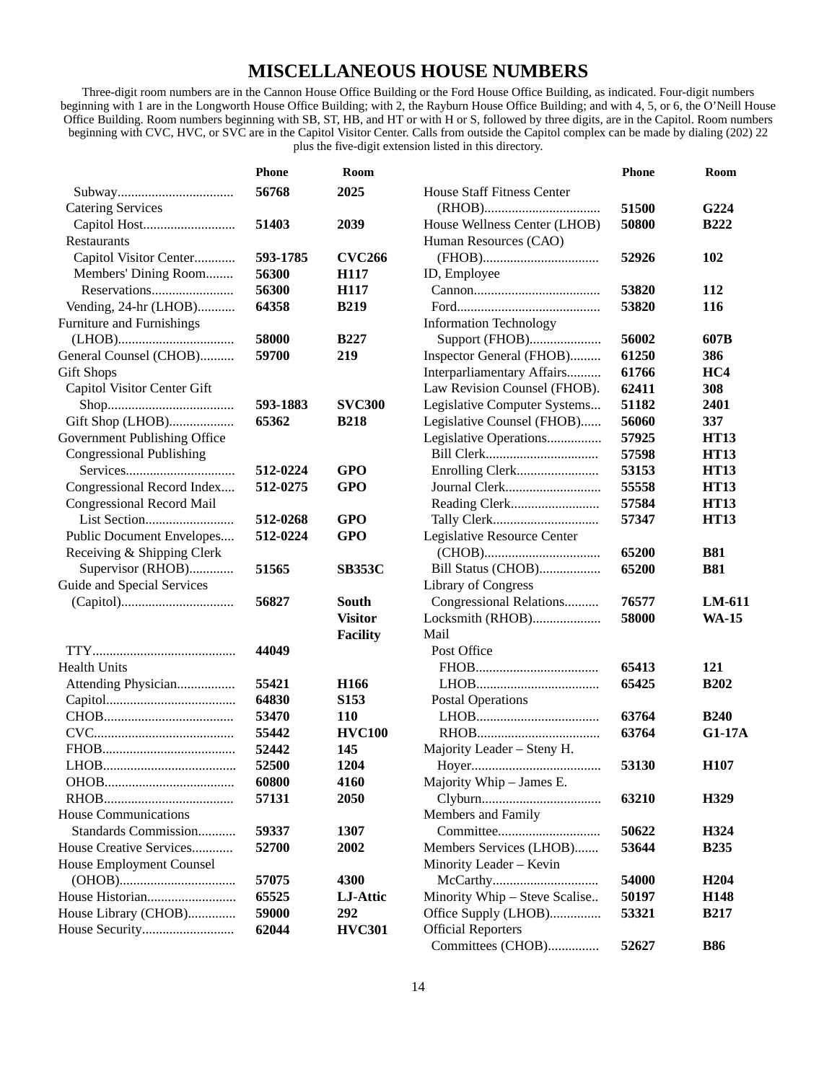#### **MISCELLANEOUS HOUSE NUMBERS**

Three-digit room numbers are in the Cannon House Office Building or the Ford House Office Building, as indicated. Four-digit numbers beginning with 1 are in the Longworth House Office Building; with 2, the Rayburn House Office Building; and with 4, 5, or 6, the O'Neill House Office Building. Room numbers beginning with SB, ST, HB, and HT or with H or S, followed by three digits, are in the Capitol. Room numbers beginning with CVC, HVC, or SVC are in the Capitol Visitor Center. Calls from outside the Capitol complex can be made by dialing (202) 22 plus the five-digit extension listed in this directory.

|                                 | <b>Phone</b>   | Room             |                                   | Phone | Room             |
|---------------------------------|----------------|------------------|-----------------------------------|-------|------------------|
|                                 | 56768          | 2025             | <b>House Staff Fitness Center</b> |       |                  |
| <b>Catering Services</b>        |                |                  |                                   | 51500 | G224             |
|                                 | 51403          | 2039             | House Wellness Center (LHOB)      | 50800 | <b>B222</b>      |
| Restaurants                     |                |                  | Human Resources (CAO)             |       |                  |
| Capitol Visitor Center          | 593-1785       | <b>CVC266</b>    |                                   | 52926 | 102              |
| Members' Dining Room            | 56300          | H117             | ID, Employee                      |       |                  |
|                                 | 56300          | H117             |                                   | 53820 | 112              |
| Vending, 24-hr (LHOB)           | 64358          | <b>B219</b>      |                                   | 53820 | 116              |
| Furniture and Furnishings       |                |                  | <b>Information Technology</b>     |       |                  |
|                                 | 58000          | <b>B227</b>      | Support (FHOB)                    | 56002 | 607B             |
| General Counsel (CHOB)          | 59700          | 219              | Inspector General (FHOB)          | 61250 | 386              |
| <b>Gift Shops</b>               |                |                  | Interparliamentary Affairs        | 61766 | HC4              |
| Capitol Visitor Center Gift     |                |                  | Law Revision Counsel (FHOB).      | 62411 | 308              |
|                                 | 593-1883       | <b>SVC300</b>    | Legislative Computer Systems      | 51182 | 2401             |
| Gift Shop (LHOB)                | 65362          | <b>B218</b>      | Legislative Counsel (FHOB)        | 56060 | 337              |
| Government Publishing Office    |                |                  | Legislative Operations            | 57925 | <b>HT13</b>      |
| <b>Congressional Publishing</b> |                |                  |                                   | 57598 | <b>HT13</b>      |
|                                 | 512-0224       | <b>GPO</b>       |                                   | 53153 | <b>HT13</b>      |
| Congressional Record Index      | 512-0275       | <b>GPO</b>       |                                   | 55558 | <b>HT13</b>      |
| Congressional Record Mail       |                |                  |                                   | 57584 | <b>HT13</b>      |
|                                 | 512-0268       | <b>GPO</b>       | Tally Clerk                       | 57347 | <b>HT13</b>      |
| Public Document Envelopes       | 512-0224       | <b>GPO</b>       | Legislative Resource Center       |       |                  |
| Receiving & Shipping Clerk      |                |                  |                                   | 65200 | <b>B81</b>       |
| Supervisor (RHOB)               | 51565          | <b>SB353C</b>    | Bill Status (CHOB)                | 65200 | <b>B81</b>       |
| Guide and Special Services      |                |                  | Library of Congress               |       |                  |
|                                 | 56827          | South            | Congressional Relations           | 76577 | LM-611           |
|                                 |                | <b>Visitor</b>   | Locksmith (RHOB)                  | 58000 | <b>WA-15</b>     |
|                                 |                | <b>Facility</b>  | Mail                              |       |                  |
|                                 | 44049          |                  | Post Office                       |       |                  |
| <b>Health Units</b>             |                |                  |                                   | 65413 | 121              |
| Attending Physician             | 55421          | H <sub>166</sub> | $LHOB$                            | 65425 | <b>B202</b>      |
|                                 | 64830          | S153             | <b>Postal Operations</b>          |       |                  |
|                                 | 53470          | 110              |                                   | 63764 | <b>B240</b>      |
|                                 |                | <b>HVC100</b>    |                                   | 63764 | G1-17A           |
|                                 | 55442<br>52442 | 145              | Majority Leader - Steny H.        |       |                  |
|                                 |                |                  |                                   |       |                  |
|                                 | 52500          | 1204             | Majority Whip - James E.          | 53130 | H <sub>107</sub> |
|                                 | 60800          | 4160             |                                   |       |                  |
|                                 | 57131          | 2050             |                                   | 63210 | H329             |
| <b>House Communications</b>     |                |                  | Members and Family                |       |                  |
| Standards Commission            | 59337          | 1307             |                                   | 50622 | H324             |
| House Creative Services         | 52700          | 2002             | Members Services (LHOB)           | 53644 | <b>B235</b>      |
| House Employment Counsel        |                |                  | Minority Leader - Kevin           |       |                  |
|                                 | 57075          | 4300             |                                   | 54000 | H <sub>204</sub> |
|                                 | 65525          | LJ-Attic         | Minority Whip - Steve Scalise     | 50197 | H148             |
| House Library (CHOB)            | 59000          | 292              | Office Supply (LHOB)              | 53321 | <b>B217</b>      |
|                                 | 62044          | <b>HVC301</b>    | <b>Official Reporters</b>         |       |                  |
|                                 |                |                  | Committees (CHOB)                 | 52627 | <b>B86</b>       |